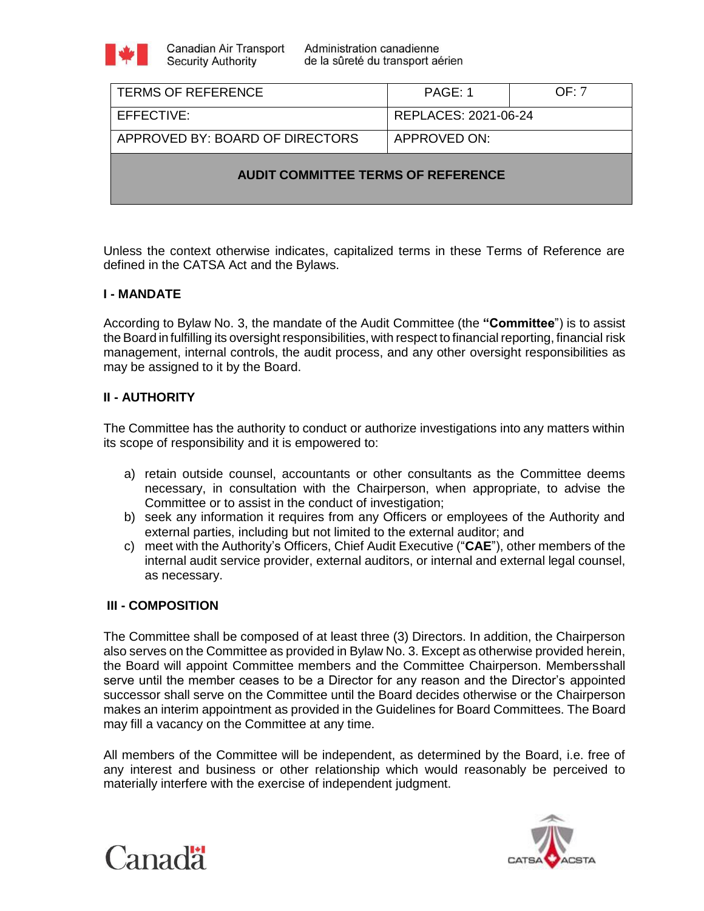

| <b>TERMS OF REFERENCE</b>                 | PAGE: 1              | OF: 7 |
|-------------------------------------------|----------------------|-------|
| EFFECTIVE:                                | REPLACES: 2021-06-24 |       |
| APPROVED BY: BOARD OF DIRECTORS           | APPROVED ON:         |       |
| <b>AUDIT COMMITTEE TERMS OF REFERENCE</b> |                      |       |

Unless the context otherwise indicates, capitalized terms in these Terms of Reference are defined in the CATSA Act and the Bylaws.

# **I - MANDATE**

According to Bylaw No. 3, the mandate of the Audit Committee (the **"Committee**") is to assist the Board in fulfilling its oversight responsibilities, with respect to financial reporting, financial risk management, internal controls, the audit process, and any other oversight responsibilities as may be assigned to it by the Board.

# **II - AUTHORITY**

The Committee has the authority to conduct or authorize investigations into any matters within its scope of responsibility and it is empowered to:

- a) retain outside counsel, accountants or other consultants as the Committee deems necessary, in consultation with the Chairperson, when appropriate, to advise the Committee or to assist in the conduct of investigation;
- b) seek any information it requires from any Officers or employees of the Authority and external parties, including but not limited to the external auditor; and
- c) meet with the Authority's Officers, Chief Audit Executive ("**CAE**"), other members of the internal audit service provider, external auditors, or internal and external legal counsel, as necessary.

# **III - COMPOSITION**

The Committee shall be composed of at least three (3) Directors. In addition, the Chairperson also serves on the Committee as provided in Bylaw No. 3. Except as otherwise provided herein, the Board will appoint Committee members and the Committee Chairperson. Membersshall serve until the member ceases to be a Director for any reason and the Director's appointed successor shall serve on the Committee until the Board decides otherwise or the Chairperson makes an interim appointment as provided in the Guidelines for Board Committees. The Board may fill a vacancy on the Committee at any time.

All members of the Committee will be independent, as determined by the Board, i.e. free of any interest and business or other relationship which would reasonably be perceived to materially interfere with the exercise of independent judgment.



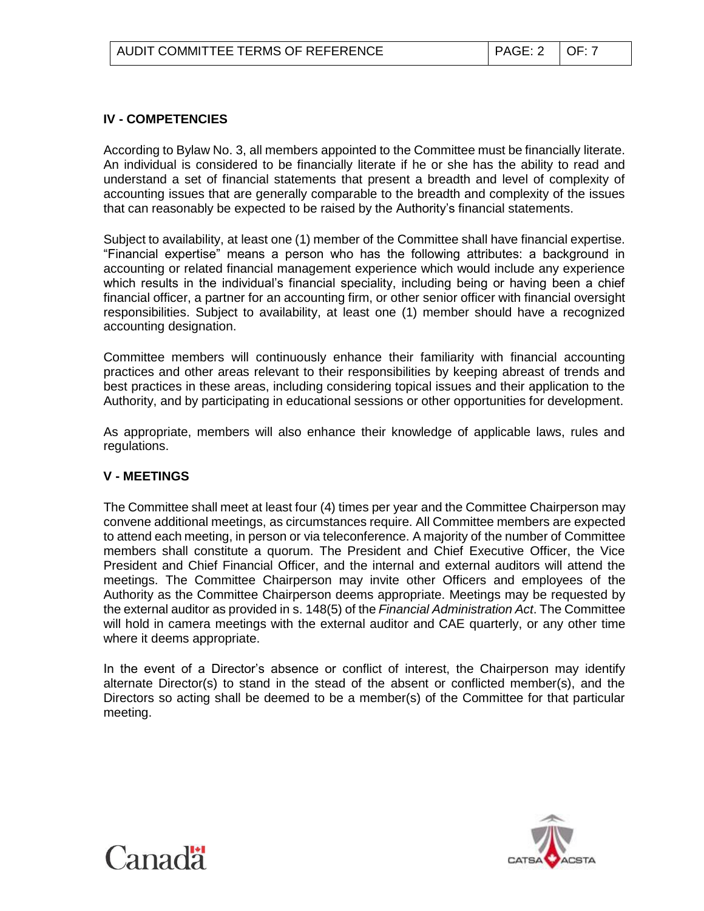## **IV - COMPETENCIES**

According to Bylaw No. 3, all members appointed to the Committee must be financially literate. An individual is considered to be financially literate if he or she has the ability to read and understand a set of financial statements that present a breadth and level of complexity of accounting issues that are generally comparable to the breadth and complexity of the issues that can reasonably be expected to be raised by the Authority's financial statements.

Subject to availability, at least one (1) member of the Committee shall have financial expertise. "Financial expertise" means a person who has the following attributes: a background in accounting or related financial management experience which would include any experience which results in the individual's financial speciality, including being or having been a chief financial officer, a partner for an accounting firm, or other senior officer with financial oversight responsibilities. Subject to availability, at least one (1) member should have a recognized accounting designation.

Committee members will continuously enhance their familiarity with financial accounting practices and other areas relevant to their responsibilities by keeping abreast of trends and best practices in these areas, including considering topical issues and their application to the Authority, and by participating in educational sessions or other opportunities for development.

As appropriate, members will also enhance their knowledge of applicable laws, rules and regulations.

### **V - MEETINGS**

The Committee shall meet at least four (4) times per year and the Committee Chairperson may convene additional meetings, as circumstances require. All Committee members are expected to attend each meeting, in person or via teleconference. A majority of the number of Committee members shall constitute a quorum. The President and Chief Executive Officer, the Vice President and Chief Financial Officer, and the internal and external auditors will attend the meetings. The Committee Chairperson may invite other Officers and employees of the Authority as the Committee Chairperson deems appropriate. Meetings may be requested by the external auditor as provided in s. 148(5) of the *Financial Administration Act*. The Committee will hold in camera meetings with the external auditor and CAE quarterly, or any other time where it deems appropriate.

In the event of a Director's absence or conflict of interest, the Chairperson may identify alternate Director(s) to stand in the stead of the absent or conflicted member(s), and the Directors so acting shall be deemed to be a member(s) of the Committee for that particular meeting.



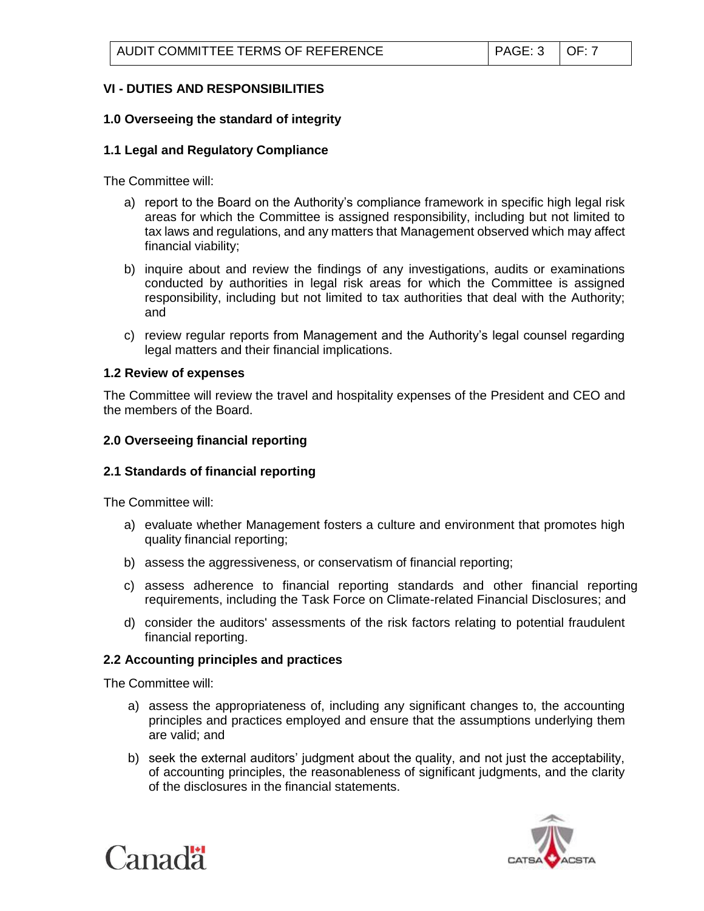# **VI - DUTIES AND RESPONSIBILITIES**

## **1.0 Overseeing the standard of integrity**

## **1.1 Legal and Regulatory Compliance**

The Committee will:

- a) report to the Board on the Authority's compliance framework in specific high legal risk areas for which the Committee is assigned responsibility, including but not limited to tax laws and regulations, and any matters that Management observed which may affect financial viability;
- b) inquire about and review the findings of any investigations, audits or examinations conducted by authorities in legal risk areas for which the Committee is assigned responsibility, including but not limited to tax authorities that deal with the Authority; and
- c) review regular reports from Management and the Authority's legal counsel regarding legal matters and their financial implications.

### **1.2 Review of expenses**

The Committee will review the travel and hospitality expenses of the President and CEO and the members of the Board.

## **2.0 Overseeing financial reporting**

### **2.1 Standards of financial reporting**

The Committee will:

- a) evaluate whether Management fosters a culture and environment that promotes high quality financial reporting;
- b) assess the aggressiveness, or conservatism of financial reporting;
- c) assess adherence to financial reporting standards and other financial reporting requirements, including the Task Force on Climate-related Financial Disclosures; and
- d) consider the auditors' assessments of the risk factors relating to potential fraudulent financial reporting.

# **2.2 Accounting principles and practices**

The Committee will:

- a) assess the appropriateness of, including any significant changes to, the accounting principles and practices employed and ensure that the assumptions underlying them are valid; and
- b) seek the external auditors' judgment about the quality, and not just the acceptability, of accounting principles, the reasonableness of significant judgments, and the clarity of the disclosures in the financial statements.



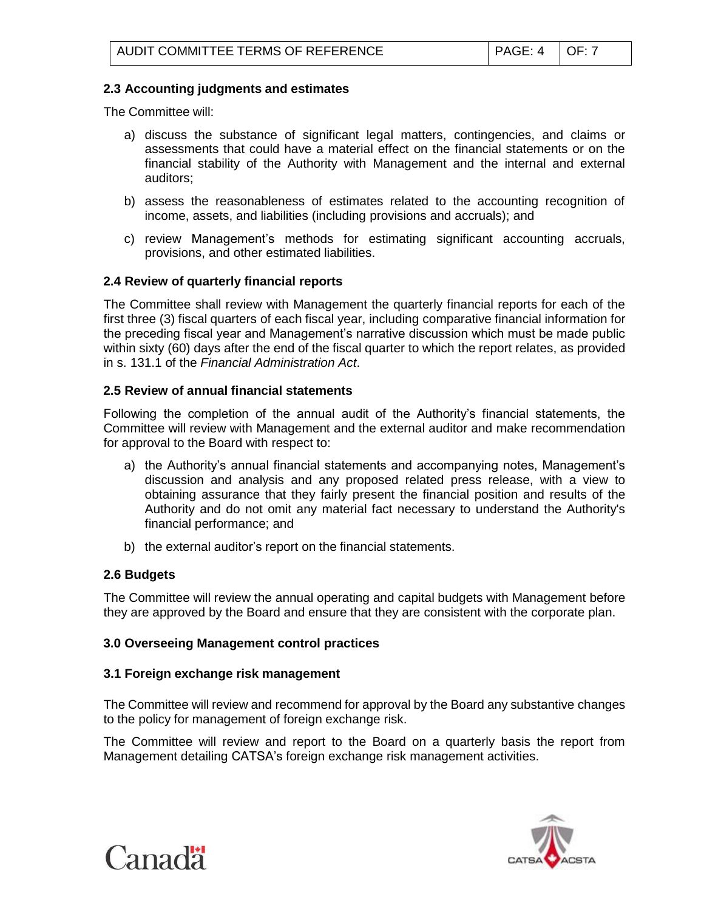# **2.3 Accounting judgments and estimates**

The Committee will:

- a) discuss the substance of significant legal matters, contingencies, and claims or assessments that could have a material effect on the financial statements or on the financial stability of the Authority with Management and the internal and external auditors;
- b) assess the reasonableness of estimates related to the accounting recognition of income, assets, and liabilities (including provisions and accruals); and
- c) review Management's methods for estimating significant accounting accruals, provisions, and other estimated liabilities.

## **2.4 Review of quarterly financial reports**

The Committee shall review with Management the quarterly financial reports for each of the first three (3) fiscal quarters of each fiscal year, including comparative financial information for the preceding fiscal year and Management's narrative discussion which must be made public within sixty (60) days after the end of the fiscal quarter to which the report relates, as provided in s. 131.1 of the *Financial Administration Act*.

## **2.5 Review of annual financial statements**

Following the completion of the annual audit of the Authority's financial statements, the Committee will review with Management and the external auditor and make recommendation for approval to the Board with respect to:

- a) the Authority's annual financial statements and accompanying notes, Management's discussion and analysis and any proposed related press release, with a view to obtaining assurance that they fairly present the financial position and results of the Authority and do not omit any material fact necessary to understand the Authority's financial performance; and
- b) the external auditor's report on the financial statements.

# **2.6 Budgets**

The Committee will review the annual operating and capital budgets with Management before they are approved by the Board and ensure that they are consistent with the corporate plan.

### **3.0 Overseeing Management control practices**

# **3.1 Foreign exchange risk management**

The Committee will review and recommend for approval by the Board any substantive changes to the policy for management of foreign exchange risk.

The Committee will review and report to the Board on a quarterly basis the report from Management detailing CATSA's foreign exchange risk management activities.



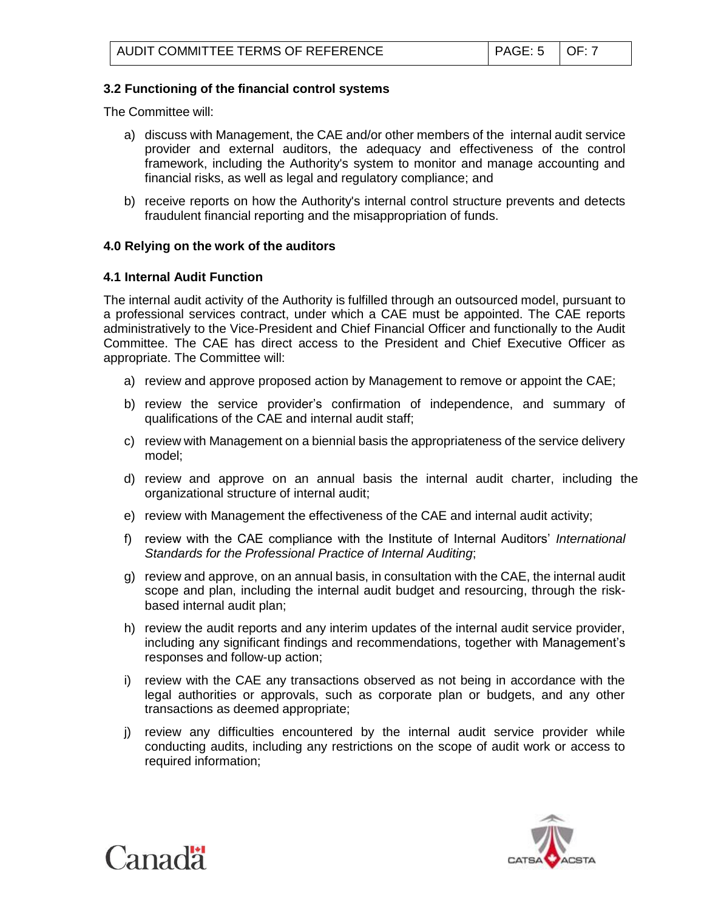# **3.2 Functioning of the financial control systems**

The Committee will:

- a) discuss with Management, the CAE and/or other members of the internal audit service provider and external auditors, the adequacy and effectiveness of the control framework, including the Authority's system to monitor and manage accounting and financial risks, as well as legal and regulatory compliance; and
- b) receive reports on how the Authority's internal control structure prevents and detects fraudulent financial reporting and the misappropriation of funds.

### **4.0 Relying on the work of the auditors**

#### **4.1 Internal Audit Function**

The internal audit activity of the Authority is fulfilled through an outsourced model, pursuant to a professional services contract, under which a CAE must be appointed. The CAE reports administratively to the Vice-President and Chief Financial Officer and functionally to the Audit Committee. The CAE has direct access to the President and Chief Executive Officer as appropriate. The Committee will:

- a) review and approve proposed action by Management to remove or appoint the CAE;
- b) review the service provider's confirmation of independence, and summary of qualifications of the CAE and internal audit staff;
- c) review with Management on a biennial basis the appropriateness of the service delivery model;
- d) review and approve on an annual basis the internal audit charter, including the organizational structure of internal audit;
- e) review with Management the effectiveness of the CAE and internal audit activity;
- f) review with the CAE compliance with the Institute of Internal Auditors' *International Standards for the Professional Practice of Internal Auditing*;
- g) review and approve, on an annual basis, in consultation with the CAE, the internal audit scope and plan, including the internal audit budget and resourcing, through the riskbased internal audit plan;
- h) review the audit reports and any interim updates of the internal audit service provider, including any significant findings and recommendations, together with Management's responses and follow-up action;
- i) review with the CAE any transactions observed as not being in accordance with the legal authorities or approvals, such as corporate plan or budgets, and any other transactions as deemed appropriate;
- j) review any difficulties encountered by the internal audit service provider while conducting audits, including any restrictions on the scope of audit work or access to required information;



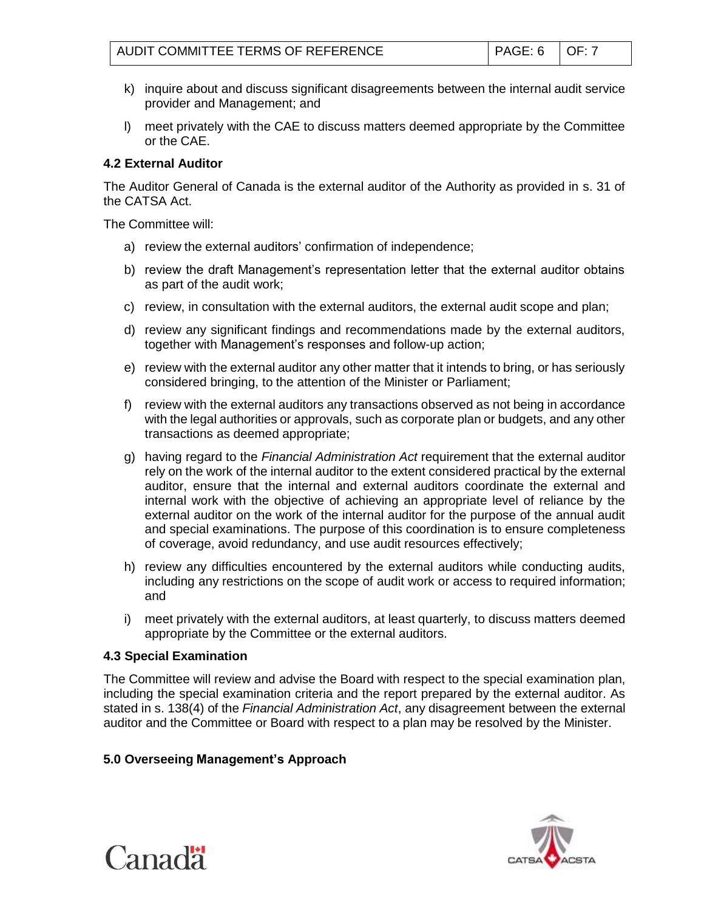- k) inquire about and discuss significant disagreements between the internal audit service provider and Management; and
- l) meet privately with the CAE to discuss matters deemed appropriate by the Committee or the CAE.

# **4.2 External Auditor**

The Auditor General of Canada is the external auditor of the Authority as provided in s. 31 of the CATSA Act.

The Committee will:

- a) review the external auditors' confirmation of independence;
- b) review the draft Management's representation letter that the external auditor obtains as part of the audit work;
- c) review, in consultation with the external auditors, the external audit scope and plan;
- d) review any significant findings and recommendations made by the external auditors, together with Management's responses and follow-up action;
- e) review with the external auditor any other matter that it intends to bring, or has seriously considered bringing, to the attention of the Minister or Parliament;
- f) review with the external auditors any transactions observed as not being in accordance with the legal authorities or approvals, such as corporate plan or budgets, and any other transactions as deemed appropriate;
- g) having regard to the *Financial Administration Act* requirement that the external auditor rely on the work of the internal auditor to the extent considered practical by the external auditor, ensure that the internal and external auditors coordinate the external and internal work with the objective of achieving an appropriate level of reliance by the external auditor on the work of the internal auditor for the purpose of the annual audit and special examinations. The purpose of this coordination is to ensure completeness of coverage, avoid redundancy, and use audit resources effectively;
- h) review any difficulties encountered by the external auditors while conducting audits, including any restrictions on the scope of audit work or access to required information; and
- i) meet privately with the external auditors, at least quarterly, to discuss matters deemed appropriate by the Committee or the external auditors.

# **4.3 Special Examination**

The Committee will review and advise the Board with respect to the special examination plan, including the special examination criteria and the report prepared by the external auditor. As stated in s. 138(4) of the *Financial Administration Act*, any disagreement between the external auditor and the Committee or Board with respect to a plan may be resolved by the Minister.

# **5.0 Overseeing Management's Approach**